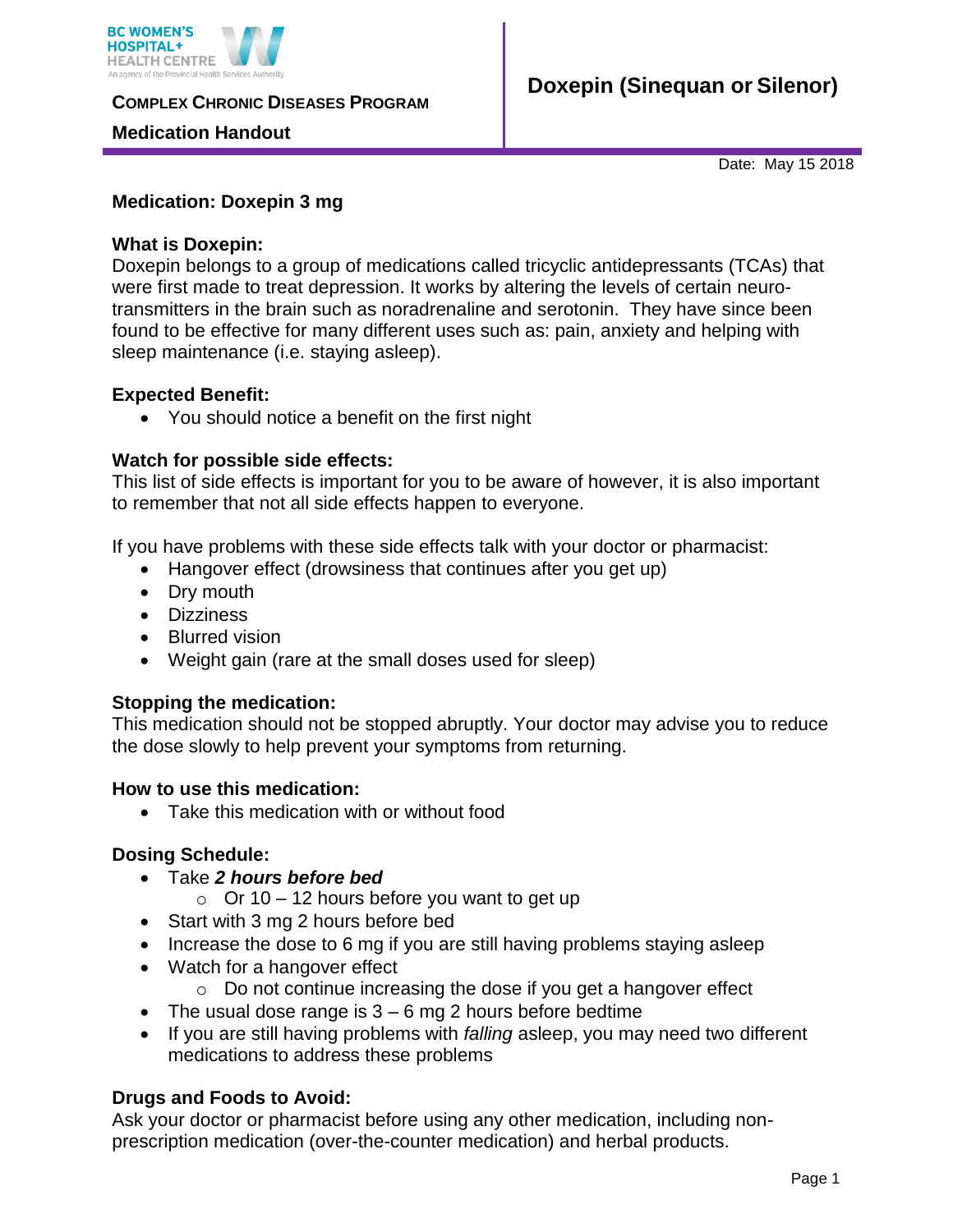

**COMPLEX CHRONIC DISEASES PROGRAM** 

### **Medication Handout**

Date: May 15 2018

## **Medication: Doxepin 3 mg**

### **What is Doxepin:**

Doxepin belongs to a group of medications called tricyclic antidepressants (TCAs) that were first made to treat depression. It works by altering the levels of certain neurotransmitters in the brain such as noradrenaline and serotonin. They have since been found to be effective for many different uses such as: pain, anxiety and helping with sleep maintenance (i.e. staying asleep).

### **Expected Benefit:**

You should notice a benefit on the first night

### **Watch for possible side effects:**

This list of side effects is important for you to be aware of however, it is also important to remember that not all side effects happen to everyone.

If you have problems with these side effects talk with your doctor or pharmacist:

- Hangover effect (drowsiness that continues after you get up)
- Dry mouth
- Dizziness
- Blurred vision
- Weight gain (rare at the small doses used for sleep)

# **Stopping the medication:**

This medication should not be stopped abruptly. Your doctor may advise you to reduce the dose slowly to help prevent your symptoms from returning.

### **How to use this medication:**

• Take this medication with or without food

### **Dosing Schedule:**

- Take *2 hours before bed*
	- $\circ$  Or 10 12 hours before you want to get up
- Start with 3 mg 2 hours before bed
- $\bullet$  Increase the dose to 6 mg if you are still having problems staying asleep
- Watch for a hangover effect
	- o Do not continue increasing the dose if you get a hangover effect
- $\bullet$  The usual dose range is  $3 6$  mg 2 hours before bedtime
- If you are still having problems with *falling* asleep, you may need two different medications to address these problems

# **Drugs and Foods to Avoid:**

Ask your doctor or pharmacist before using any other medication, including nonprescription medication (over-the-counter medication) and herbal products.